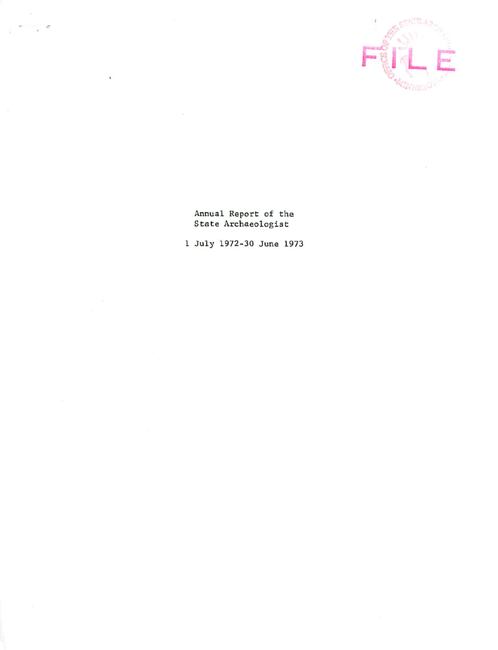

Annual Report of the State Archaeologist

Ä

July 1972-30 June 1973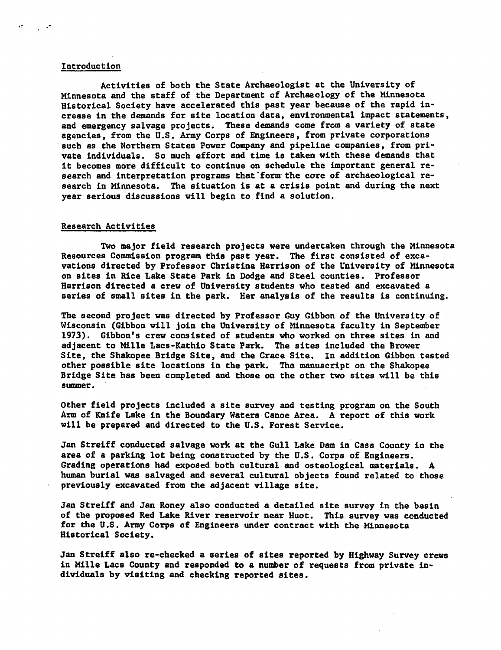## Introduction

Activities of both the State Archaeologist at the University of Minnesota and the staff of the Department of Archaeology of the Minnesota Historical Society have accelerated this past year because of the rapid in crease in the demands for site location data, environmental impact statements, and emergency salvage projects. These demands come from a variety of state agencies, from the U.S. Army Corps of Engineers, from private corporations such as the Northern States Power Company and pipeline companies, from pri vate individuals. So much effort and time is taken with these demands that it becomes more difficult to continue on schedule the important general re search and interpretation programs that form the core of archaeological research in Minnesota. The situation is at a crisis point and during the next year serious discussions will begin to find a solution.

### Research Activities

Two major field research projects were undertaken through the Minnesota Resources Commission program this past year. The first consisted of exca vations directed by Professor Christina Harrison of the University of Minnesota on sites in Rice Lake State Park in Dodge and Steel counties. Professor Harrison directed a crew of University students who tested and excavated a series of small sites in the park. Her analysis of the results is continuing.

The second project was directed by Professor Guy Gibbon of the University of Wisconsin (Gibbon will join the University of Minnesota faculty in September 1973). Gibbon's crew consisted of students who worked on three sites in and adjacent to Mille Lacs-Kathio State Park. The sites included the Brower Site, the Shakopee Bridge Site, and the Crace Site. In addition Gibbon tested other possible site locations in the park. The manuscript on the Shakopee Bridge Site has been completed and those on the other two sites will be this summer.

Other field projects included site survey and testing program on the South Arm of Knife Lake in the Boundary Waters Canoe Area. A report of this work will be prepared and directed to the U.S. Forest Service.

Jan Streiff conducted salvage work at the Gull Lake Dam in Cass County in the area of a parking lot being constructed by the U.S. Corps of Engineers. Grading operations had exposed both cultural and osteological materials. human burial was salvaged and several cultural objects found related to those previously excavated from the adjacent village site.

Jan Streiff and Jan Roney also conducted a detailed site survey in the basin of the proposed Red Lake River reservoir near Huot. This survey was conducted for the U.S. Army Corps of Engineers under contract with the Minnesota Historical Society.

Jan Streiff also re-checked a series of sites reported by Highway Survey crews in Mille Lacs County and responded to a number of requests from private individuals by visiting and checking reported sites.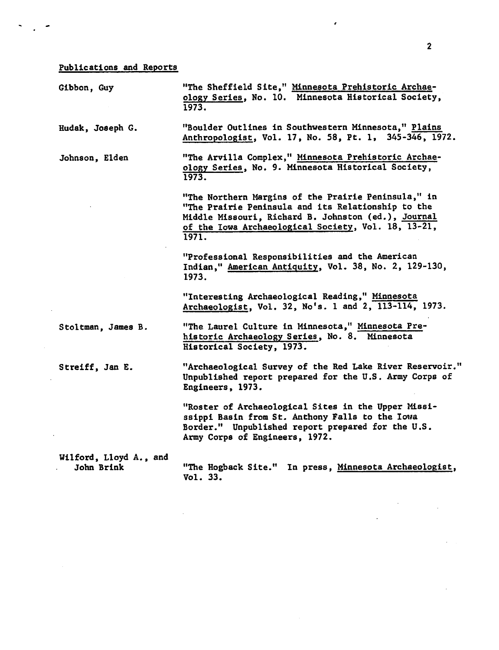# Publications and Reports

 $\ddot{\phantom{0}}$ 

| Gibbon, Guy                          | "The Sheffield Site," Minnesota Prehistoric Archae-<br>ology Series, No. 10. Minnesota Historical Society,<br>1973.                                                                                                              |
|--------------------------------------|----------------------------------------------------------------------------------------------------------------------------------------------------------------------------------------------------------------------------------|
| Hudak, Joseph G.                     | "Boulder Outlines in Southwestern Minnesota," Plains<br>Anthropologist, Vol. 17, No. 58, Pt. 1, 345-346, 1972.                                                                                                                   |
| Johnson, Elden                       | "The Arvilla Complex," Minnesota Prehistoric Archae-<br>ology Series, No. 9. Minnesota Historical Society,<br>1973.                                                                                                              |
|                                      | "The Northern Margins of the Prairie Peninsula," in<br>"The Prairie Peninsula and its Relationship to the<br>Middle Missouri, Richard B. Johnston (ed.), Journal<br>of the Iowa Archaeological Society, Vol. 18, 13-21,<br>1971. |
|                                      | "Professional Responsibilities and the American<br>Indian," American Antiquity, Vol. 38, No. 2, 129-130,<br>1973.                                                                                                                |
|                                      | "Interesting Archaeological Reading," Minnesota<br>Archaeologist, Vol. 32, No's. 1 and 2, 113-114, 1973.                                                                                                                         |
| Stoltman, James B.                   | "The Laurel Culture in Minnesota," Minnesota Pre-<br>historic Archaeology Series, No. 8. Minnesota<br>Historical Society, 1973.                                                                                                  |
| Streiff, Jan E.                      | "Archaeological Survey of the Red Lake River Reservoir."<br>Unpublished report prepared for the U.S. Army Corps of<br>Engineers, 1973.                                                                                           |
|                                      | "Roster of Archaeological Sites in the Upper Missi-<br>ssippi Basin from St. Anthony Falls to the Iowa<br>Border." Unpublished report prepared for the U.S.<br>Army Corps of Engineers, 1972.                                    |
| Wilford, Lloyd A., and<br>John Brink | "The Hogback Site." In press, Minnesota Archaeologist,<br>Vol. 33.                                                                                                                                                               |

 $\sim 10^7$ 

 $\overline{\phantom{a}}$ 

 $\bar{z}$ 

 $\sim$   $\sim$ 

 $\pmb{\cdot}$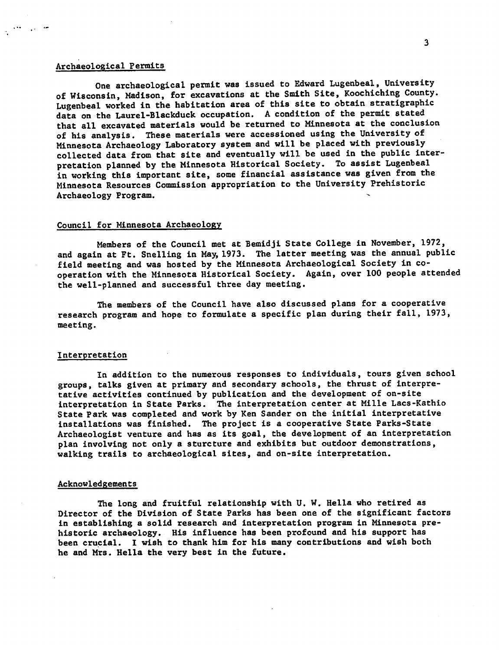# Archaeological Permits

One archaeological permit was issued to Edward Lugenbeal, University of Wisconsin, Madison, for excavations at the Smith Site, Koochiching County. Lugenbeal worked in the habitation area of this site to obtain stratigraphic data on the Laurel-Blackduck occupation. A condition of the permit stated that all excavated materials would be returned to Minnesota at the conclusion of his analysis. These materials were accessioned using the University of Minnesota Archaeology Laboratory system and will be placed with previously collected data from that site and eventually will be used in the public inter pretation planned by the Minnesota Historical Society. To assist Lugenbeal in working this important site, some financial assistance was given from the Minnesota Resources Commission appropriation to the University Prehistoric Archaeology Program.

## Council for Minnesota Archaeology

Members of the Council met at Bemidji State College in November, 1972, and again at Ft. Snelling in May, 1973. The latter meeting was the annual public field meeting and was hosted by the Minnesota Archaeological Society in co operation with the Minnesota Historical Society. Again, over 100 people attended the well-planned and successful three day meeting.

The members of the Council have also discussed plans for a cooperative research program and hope to formulate a specific plan during their fall, 1973, meeting.

#### Interpretation

In addition to the numerous responses to individuals, tours given school groups, talks given at primary and secondary schools, the thrust of interpre tative activities continued by publication and the development of on-site interpretation in State Parks. The interpretation center at Mille Lacs-Kathio State Park was completed and work by Ken Sander on the initial interpretative installations was finished. The project is cooperative State Parks-State Archaeologist venture and has as its goal, the development of an interpretation plan involving not only a sturcture and exhibits but outdoor demonstrations, walking trails to archaeological sites, and on-site interpretation.

## Acknowledgements

The long and fruitful relationship with U. W. Hella who retired as Director of the Division of State Parks has been one of the significant factors in establishing a solid research and interpretation program in Minnesota prehistoric archaeology. His influence has been profound and his support has been crucial. I wish to thank him for his many contributions and wish both he and Mrs. Hella the very best in the future.